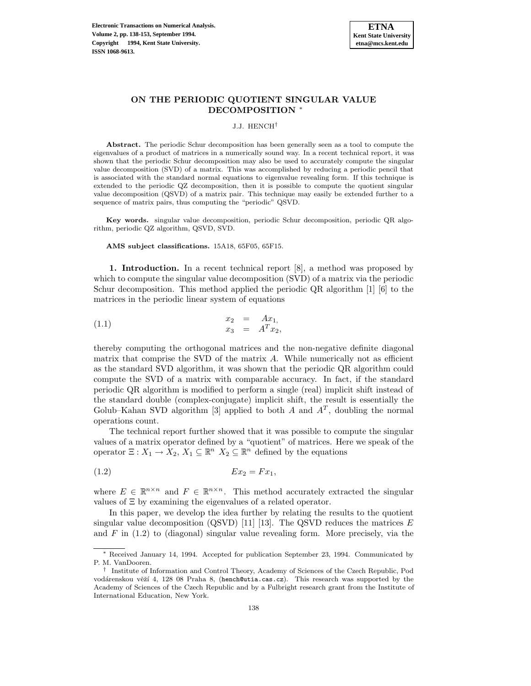

# **ON THE PERIODIC QUOTIENT SINGULAR VALUE DECOMPOSITION** <sup>∗</sup>

#### J.J. HENCH†

Abstract. The periodic Schur decomposition has been generally seen as a tool to compute the eigenvalues of a product of matrices in a numerically sound way. In a recent technical report, it was shown that the periodic Schur decomposition may also be used to accurately compute the singular value decomposition (SVD) of a matrix. This was accomplished by reducing a periodic pencil that is associated with the standard normal equations to eigenvalue revealing form. If this technique is extended to the periodic QZ decomposition, then it is possible to compute the quotient singular value decomposition (QSVD) of a matrix pair. This technique may easily be extended further to a sequence of matrix pairs, thus computing the "periodic" QSVD.

**Key words.** singular value decomposition, periodic Schur decomposition, periodic QR algorithm, periodic QZ algorithm, QSVD, SVD.

**AMS subject classifications.** 15A18, 65F05, 65F15.

**1. Introduction.** In a recent technical report [8], a method was proposed by which to compute the singular value decomposition (SVD) of a matrix via the periodic Schur decomposition. This method applied the periodic QR algorithm [1] [6] to the matrices in the periodic linear system of equations

(1.1) 
$$
\begin{array}{rcl}\nx_2 & = & Ax_1, \\
x_3 & = & A^T x_2,\n\end{array}
$$

thereby computing the orthogonal matrices and the non-negative definite diagonal matrix that comprise the SVD of the matrix A. While numerically not as efficient as the standard SVD algorithm, it was shown that the periodic QR algorithm could compute the SVD of a matrix with comparable accuracy. In fact, if the standard periodic QR algorithm is modified to perform a single (real) implicit shift instead of the standard double (complex-conjugate) implicit shift, the result is essentially the Golub–Kahan SVD algorithm [3] applied to both A and  $A<sup>T</sup>$ , doubling the normal operations count.

The technical report further showed that it was possible to compute the singular values of a matrix operator defined by a "quotient" of matrices. Here we speak of the operator  $\Xi: X_1 \to X_2, X_1 \subseteq \mathbb{R}^n$   $X_2 \subseteq \mathbb{R}^n$  defined by the equations

$$
(1.2) \t\t\t Ex_2 = Fx_1,
$$

where  $E \in \mathbb{R}^{n \times n}$  and  $F \in \mathbb{R}^{n \times n}$ . This method accurately extracted the singular values of Ξ by examining the eigenvalues of a related operator.

In this paper, we develop the idea further by relating the results to the quotient singular value decomposition (QSVD) [11] [13]. The QSVD reduces the matrices  $E$ and  $F$  in  $(1.2)$  to (diagonal) singular value revealing form. More precisely, via the

<sup>∗</sup> Received January 14, 1994. Accepted for publication September 23, 1994. Communicated by P. M. VanDooren.

<sup>†</sup> Institute of Information and Control Theory, Academy of Sciences of the Czech Republic, Pod vodárenskou věží 4, 128 08 Praha 8, (hench@utia.cas.cz). This research was supported by the Academy of Sciences of the Czech Republic and by a Fulbright research grant from the Institute of International Education, New York.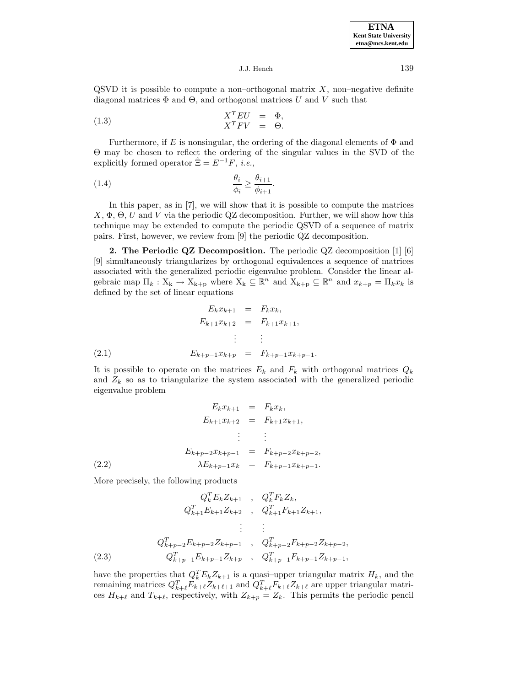QSVD it is possible to compute a non–orthogonal matrix  $X$ , non–negative definite diagonal matrices  $\Phi$  and  $\Theta$ , and orthogonal matrices U and V such that

(1.3) 
$$
X^T E U = \Phi,
$$

$$
X^T F V = \Theta.
$$

Furthermore, if E is nonsingular, the ordering of the diagonal elements of  $\Phi$  and Θ may be chosen to reflect the ordering of the singular values in the SVD of the explicitly formed operator  $\hat{\Xi} = E^{-1}F$ , *i.e.*,

$$
\frac{\theta_i}{\phi_i} \ge \frac{\theta_{i+1}}{\phi_{i+1}}.
$$

In this paper, as in [7], we will show that it is possible to compute the matrices  $X, \Phi, \Theta, U$  and V via the periodic QZ decomposition. Further, we will show how this technique may be extended to compute the periodic QSVD of a sequence of matrix pairs. First, however, we review from [9] the periodic QZ decomposition.

**2. The Periodic QZ Decomposition.** The periodic QZ decomposition [1] [6] [9] simultaneously triangularizes by orthogonal equivalences a sequence of matrices associated with the generalized periodic eigenvalue problem. Consider the linear algebraic map  $\Pi_k : X_k \to X_{k+p}$  where  $X_k \subseteq \mathbb{R}^n$  and  $X_{k+p} \subseteq \mathbb{R}^n$  and  $x_{k+p} = \Pi_k x_k$  is defined by the set of linear equations

$$
E_k x_{k+1} = F_k x_k,
$$
  
\n
$$
E_{k+1} x_{k+2} = F_{k+1} x_{k+1},
$$
  
\n
$$
\vdots \qquad \vdots
$$
  
\n
$$
E_{k+p-1} x_{k+p} = F_{k+p-1} x_{k+p-1}.
$$
  
\n(2.1)

It is possible to operate on the matrices  $E_k$  and  $F_k$  with orthogonal matrices  $Q_k$ and  $Z_k$  so as to triangularize the system associated with the generalized periodic eigenvalue problem

$$
E_k x_{k+1} = F_k x_k,
$$
  
\n
$$
E_{k+1} x_{k+2} = F_{k+1} x_{k+1},
$$
  
\n
$$
\vdots \qquad \vdots
$$
  
\n
$$
E_{k+p-2} x_{k+p-1} = F_{k+p-2} x_{k+p-2},
$$
  
\n(2.2)  
\n
$$
\lambda E_{k+p-1} x_k = F_{k+p-1} x_{k+p-1}.
$$

More precisely, the following products

$$
Q_k^T E_k Z_{k+1} , Q_k^T F_k Z_k,
$$
  
\n
$$
Q_{k+1}^T E_{k+1} Z_{k+2} , Q_{k+1}^T F_{k+1} Z_{k+1},
$$
  
\n
$$
\vdots
$$
  
\n
$$
Q_{k+p-2}^T E_{k+p-2} Z_{k+p-1} , Q_{k+p-2}^T F_{k+p-2} Z_{k+p-2},
$$
  
\n(2.3) 
$$
Q_{k+p-1}^T E_{k+p-1} Z_{k+p} , Q_{k+p-1}^T F_{k+p-1} Z_{k+p-1},
$$

have the properties that  $Q_k^T E_k Z_{k+1}$  is a quasi-upper triangular matrix  $H_k$ , and the remaining matrices  $Q_{k+\ell}^T E_{k+\ell} Z_{k+\ell+1}$  and  $Q_{k+\ell}^T F_{k+\ell} Z_{k+\ell}$  are upper triangular matrices  $H_{k+\ell}$  and  $T_{k+\ell}$ , respectively, with  $Z_{k+p} = Z_k$ . This permits the periodic pencil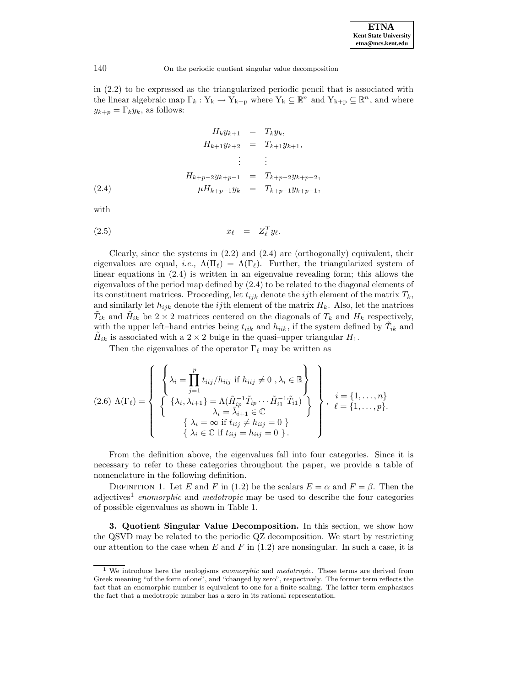in (2.2) to be expressed as the triangularized periodic pencil that is associated with the linear algebraic map  $\Gamma_k: Y_k \to Y_{k+p}$  where  $Y_k \subseteq \mathbb{R}^n$  and  $Y_{k+p} \subseteq \mathbb{R}^n$ , and where  $y_{k+p} = \Gamma_k y_k$ , as follows:

$$
H_k y_{k+1} = T_k y_k,
$$
  
\n
$$
H_{k+1} y_{k+2} = T_{k+1} y_{k+1},
$$
  
\n
$$
\vdots \qquad \vdots
$$
  
\n
$$
H_{k+p-2} y_{k+p-1} = T_{k+p-2} y_{k+p-2},
$$
  
\n(2.4)  
\n
$$
\mu H_{k+p-1} y_k = T_{k+p-1} y_{k+p-1},
$$

with

$$
(2.5) \t\t x_{\ell} = Z_{\ell}^T y_{\ell}.
$$

Clearly, since the systems in  $(2.2)$  and  $(2.4)$  are (orthogonally) equivalent, their eigenvalues are equal, *i.e.*,  $\Lambda(\Pi_{\ell}) = \Lambda(\Gamma_{\ell})$ . Further, the triangularized system of linear equations in (2.4) is written in an eigenvalue revealing form; this allows the eigenvalues of the period map defined by (2.4) to be related to the diagonal elements of its constituent matrices. Proceeding, let  $t_{ijk}$  denote the *ij*th element of the matrix  $T_k$ , and similarly let  $h_{ijk}$  denote the *ij*th element of the matrix  $H_k$ . Also, let the matrices  $T_{ik}$  and  $H_{ik}$  be  $2 \times 2$  matrices centered on the diagonals of  $T_k$  and  $H_k$  respectively, with the upper left–hand entries being  $t_{iik}$  and  $h_{iik}$ , if the system defined by  $T_{ik}$  and  $H_{ik}$  is associated with a 2 × 2 bulge in the quasi-upper triangular  $H_1$ .

Then the eigenvalues of the operator  $\Gamma_\ell$  may be written as

$$
(2.6) \ \Lambda(\Gamma_{\ell}) = \left\{ \begin{array}{l} \left\{ \lambda_{i} = \prod_{j=1}^{p} t_{iij} / h_{iij} \text{ if } h_{iij} \neq 0 \ , \lambda_{i} \in \mathbb{R} \right\} \\ \left\{ \begin{array}{l} \left\{ \lambda_{i}, \lambda_{i+1} \right\} = \Lambda(\tilde{H}_{ip}^{-1} \tilde{T}_{ip} \cdots \tilde{H}_{i1}^{-1} \tilde{T}_{i1}) \\ \lambda_{i} = \lambda_{i+1} \in \mathbb{C} \\ \left\{ \lambda_{i} = \infty \text{ if } t_{iij} \neq h_{iij} = 0 \ \right\} \end{array} \right\}, \begin{array}{l} i = \{1, \ldots, n\} \\ \ell = \{1, \ldots, p\} . \end{array} \right.
$$

From the definition above, the eigenvalues fall into four categories. Since it is necessary to refer to these categories throughout the paper, we provide a table of nomenclature in the following definition.

DEFINITION 1. Let E and F in (1.2) be the scalars  $E = \alpha$  and  $F = \beta$ . Then the adjectives<sup>1</sup> enomorphic and medotropic may be used to describe the four categories of possible eigenvalues as shown in Table 1.

**3. Quotient Singular Value Decomposition.** In this section, we show how the QSVD may be related to the periodic QZ decomposition. We start by restricting our attention to the case when E and F in  $(1.2)$  are nonsingular. In such a case, it is

 $1$  We introduce here the neologisms *enomorphic* and *medotropic*. These terms are derived from Greek meaning "of the form of one", and "changed by zero", respectively. The former term reflects the fact that an enomorphic number is equivalent to one for a finite scaling. The latter term emphasizes the fact that a medotropic number has a zero in its rational representation.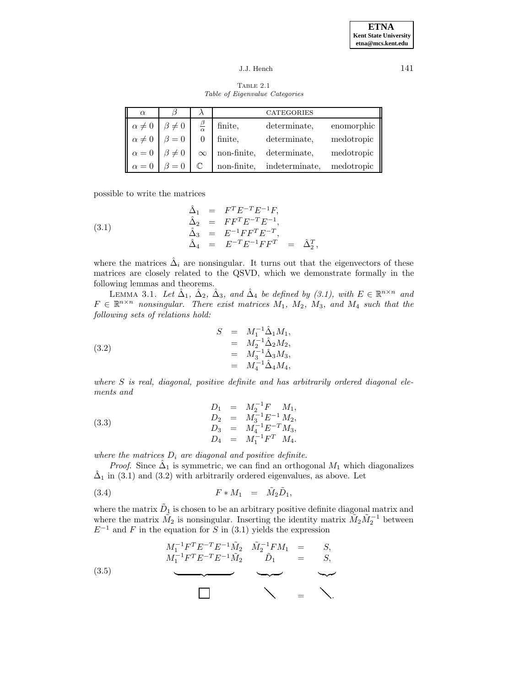Table 2.1 Table of Eigenvalue Categories

| $\alpha$        |                |                     |             | <b>CATEGORIES</b> |            |
|-----------------|----------------|---------------------|-------------|-------------------|------------|
| $\alpha \neq 0$ | $\beta \neq 0$ | $\beta$<br>$\alpha$ | finite,     | determinate,      | enomorphic |
| $\alpha \neq 0$ | $\beta = 0$    |                     | finite,     | determinate,      | medotropic |
| $\alpha = 0$    | $\beta \neq 0$ | $\infty$            | non-finite, | determinate.      | medotropic |
| $\alpha = 0$    |                |                     | non-finite, | indeterminate,    | medotropic |

possible to write the matrices

(3.1) 
$$
\begin{array}{rcl}\n\hat{\Delta}_1 &=& F^T E^{-T} E^{-1} F, \\
\hat{\Delta}_2 &=& F F^T E^{-T} E^{-1}, \\
\hat{\Delta}_3 &=& E^{-1} F F^T E^{-T}, \\
\hat{\Delta}_4 &=& E^{-T} E^{-1} F F^T = & \hat{\Delta}_2^T,\n\end{array}
$$

where the matrices  $\hat{\Delta}_i$  are nonsingular. It turns out that the eigenvectors of these matrices are closely related to the QSVD, which we demonstrate formally in the following lemmas and theorems.

LEMMA 3.1. Let  $\hat{\Delta}_1$ ,  $\hat{\Delta}_2$ ,  $\hat{\Delta}_3$ , and  $\hat{\Delta}_4$  be defined by (3.1), with  $E \in \mathbb{R}^{n \times n}$  and  $F \in \mathbb{R}^{n \times n}$  nonsingular. There exist matrices  $M_1$ ,  $M_2$ ,  $M_3$ , and  $M_4$  such that the following sets of relations hold:

(3.2) 
$$
S = M_1^{-1} \hat{\Delta}_1 M_1, \n= M_2^{-1} \hat{\Delta}_2 M_2, \n= M_3^{-1} \hat{\Delta}_3 M_3, \n= M_4^{-1} \hat{\Delta}_4 M_4,
$$

where  $S$  is real, diagonal, positive definite and has arbitrarily ordered diagonal elements and

(3.3) 
$$
D_1 = M_2^{-1} F M_1,
$$

$$
D_2 = M_3^{-1} E^{-1} M_2,
$$

$$
D_3 = M_4^{-1} E^{-T} M_3,
$$

$$
D_4 = M_1^{-1} F^T M_4.
$$

where the matrices  $D_i$  are diagonal and positive definite.

*Proof.* Since  $\hat{\Delta}_1$  is symmetric, we can find an orthogonal  $M_1$  which diagonalizes  $\hat{\Delta}_1$  in (3.1) and (3.2) with arbitrarily ordered eigenvalues, as above. Let

$$
(3.4) \t\t\t F * M_1 = \tilde{M}_2 \tilde{D}_1,
$$

where the matrix  $\tilde{D}_1$  is chosen to be an arbitrary positive definite diagonal matrix and where the matrix  $\tilde{M}_2$  is nonsingular. Inserting the identity matrix  $\tilde{M}_2 \tilde{M}_2^{-1}$  between  $E^{-1}$  and F in the equation for S in (3.1) yields the expression

(3.5) 
$$
M_1^{-1}F^T E^{-T} E^{-1} \tilde{M}_2 \quad \tilde{M}_2^{-1} F M_1 = S, \nM_1^{-1}F^T E^{-T} E^{-1} \tilde{M}_2 \quad \tilde{D}_1 = S, \n\longrightarrow
$$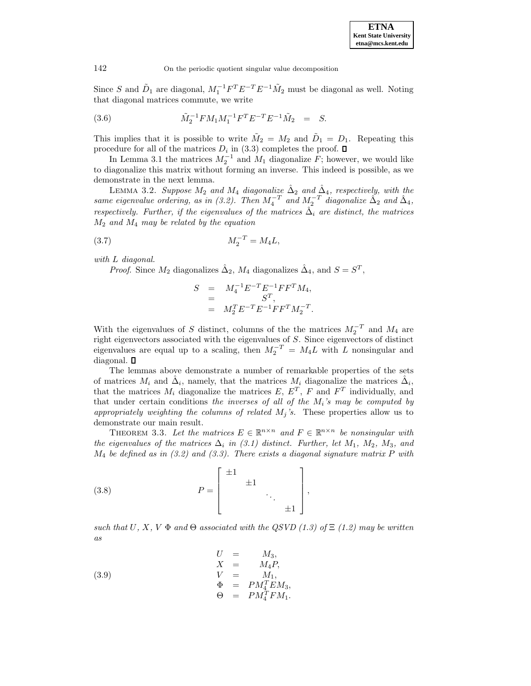Since S and  $\tilde{D}_1$  are diagonal,  $M_1^{-1}F^TE^{-T}E^{-1}\tilde{M}_2$  must be diagonal as well. Noting that diagonal matrices commute, we write

(3.6) 
$$
\tilde{M}_2^{-1} F M_1 M_1^{-1} F^T E^{-T} E^{-1} \tilde{M}_2 = S.
$$

This implies that it is possible to write  $\tilde{M}_2 = M_2$  and  $\tilde{D}_1 = D_1$ . Repeating this procedure for all of the matrices  $D_i$  in (3.3) completes the proof.  $\square$ 

In Lemma 3.1 the matrices  $M_2^{-1}$  and  $M_1$  diagonalize  $F$ ; however, we would like to diagonalize this matrix without forming an inverse. This indeed is possible, as we demonstrate in the next lemma.

LEMMA 3.2. Suppose  $M_2$  and  $M_4$  diagonalize  $\hat{\Delta}_2$  and  $\hat{\Delta}_4$ , respectively, with the same eigenvalue ordering, as in (3.2). Then  $M_4^{-T}$  and  $M_2^{-T}$  diagonalize  $\tilde{\Delta}_2$  and  $\tilde{\Delta}_4$ , respectively. Further, if the eigenvalues of the matrices  $\hat{\Delta}_i$  are distinct, the matrices  $M_2$  and  $M_4$  may be related by the equation

$$
(3.7) \t\t\t M_2^{-T} = M_4 L,
$$

with L diagonal.

*Proof.* Since  $M_2$  diagonalizes  $\hat{\Delta}_2$ ,  $M_4$  diagonalizes  $\hat{\Delta}_4$ , and  $S = S^T$ ,

$$
S = M_4^{-1} E^{-T} E^{-1} F F^{T} M_4,
$$
  
= 
$$
S^{T},
$$
  
= 
$$
M_2^{T} E^{-T} E^{-1} F F^{T} M_2^{-T}.
$$

With the eigenvalues of S distinct, columns of the the matrices  $M_2^{-T}$  and  $M_4$  are right eigenvectors associated with the eigenvalues of S. Since eigenvectors of distinct eigenvalues are equal up to a scaling, then  $M_2^{-T} = M_4 L$  with L nonsingular and diagonal.

The lemmas above demonstrate a number of remarkable properties of the sets of matrices  $M_i$  and  $\hat{\Delta}_i$ , namely, that the matrices  $M_i$  diagonalize the matrices  $\hat{\Delta}_i$ , that the matrices  $M_i$  diagonalize the matrices E,  $E^T$ , F and  $F^T$  individually, and that under certain conditions the inverses of all of the  $M_i$ 's may be computed by appropriately weighting the columns of related  $M_j$ 's. These properties allow us to demonstrate our main result.

THEOREM 3.3. Let the matrices  $E \in \mathbb{R}^{n \times n}$  and  $F \in \mathbb{R}^{n \times n}$  be nonsingular with the eigenvalues of the matrices  $\Delta_i$  in (3.1) distinct. Further, let  $M_1$ ,  $M_2$ ,  $M_3$ , and  $M_4$  be defined as in (3.2) and (3.3). There exists a diagonal signature matrix P with

(3.8) 
$$
P = \begin{bmatrix} \pm 1 & & & \\ & \pm 1 & & \\ & & \ddots & \\ & & & \pm 1 \end{bmatrix},
$$

such that U, X, V  $\Phi$  and  $\Theta$  associated with the QSVD (1.3) of  $\Xi$  (1.2) may be written as

(3.9)  
\n
$$
\begin{array}{rcl}\nU & = & M_3, \\
X & = & M_4 P, \\
V & = & M_1, \\
\Phi & = & PM_4^T EM_3, \\
\Theta & = & PM_4^T FM_1.\n\end{array}
$$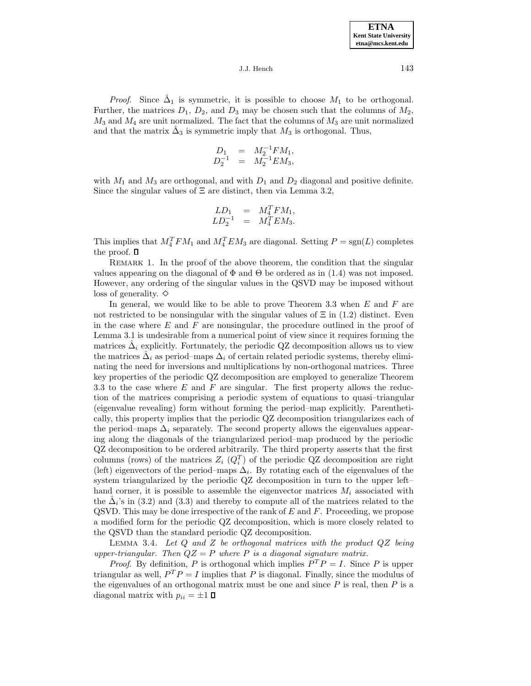*Proof.* Since  $\hat{\Delta}_1$  is symmetric, it is possible to choose  $M_1$  to be orthogonal. Further, the matrices  $D_1$ ,  $D_2$ , and  $D_3$  may be chosen such that the columns of  $M_2$ ,  $M_3$  and  $M_4$  are unit normalized. The fact that the columns of  $M_3$  are unit normalized and that the matrix  $\hat{\Delta}_3$  is symmetric imply that  $M_3$  is orthogonal. Thus,

$$
\begin{array}{rcl} D_1 &=& M_2^{-1}FM_1,\\ D_2^{-1} &=& M_2^{-1}EM_3, \end{array}
$$

with  $M_1$  and  $M_3$  are orthogonal, and with  $D_1$  and  $D_2$  diagonal and positive definite. Since the singular values of  $\Xi$  are distinct, then via Lemma 3.2,

$$
LD_1 = M_4^T F M_1,
$$
  

$$
LD_2^{-1} = M_4^T E M_3.
$$

This implies that  $M_4^T F M_1$  and  $M_4^T E M_3$  are diagonal. Setting  $P = sgn(L)$  completes the proof.  $\square$ 

REMARK 1. In the proof of the above theorem, the condition that the singular values appearing on the diagonal of  $\Phi$  and  $\Theta$  be ordered as in (1.4) was not imposed. However, any ordering of the singular values in the QSVD may be imposed without loss of generality.  $\diamond$ 

In general, we would like to be able to prove Theorem 3.3 when  $E$  and  $F$  are not restricted to be nonsingular with the singular values of  $\Xi$  in (1.2) distinct. Even in the case where  $E$  and  $F$  are nonsingular, the procedure outlined in the proof of Lemma 3.1 is undesirable from a numerical point of view since it requires forming the matrices  $\Delta_i$  explicitly. Fortunately, the periodic QZ decomposition allows us to view the matrices  $\hat{\Delta}_i$  as period–maps  $\Delta_i$  of certain related periodic systems, thereby eliminating the need for inversions and multiplications by non-orthogonal matrices. Three key properties of the periodic QZ decomposition are employed to generalize Theorem 3.3 to the case where  $E$  and  $F$  are singular. The first property allows the reduction of the matrices comprising a periodic system of equations to quasi–triangular (eigenvalue revealing) form without forming the period–map explicitly. Parenthetically, this property implies that the periodic QZ decomposition triangularizes each of the period–maps  $\Delta_i$  separately. The second property allows the eigenvalues appearing along the diagonals of the triangularized period–map produced by the periodic QZ decomposition to be ordered arbitrarily. The third property asserts that the first columns (rows) of the matrices  $Z_i$  ( $Q_i^T$ ) of the periodic QZ decomposition are right (left) eigenvectors of the period–maps  $\Delta_i$ . By rotating each of the eigenvalues of the system triangularized by the periodic QZ decomposition in turn to the upper left– hand corner, it is possible to assemble the eigenvector matrices  $M_i$  associated with the  $\Delta_i$ 's in (3.2) and (3.3) and thereby to compute all of the matrices related to the QSVD. This may be done irrespective of the rank of  $E$  and  $F$ . Proceeding, we propose a modified form for the periodic QZ decomposition, which is more closely related to the QSVD than the standard periodic QZ decomposition.

LEMMA 3.4. Let  $Q$  and  $Z$  be orthogonal matrices with the product  $QZ$  being upper-triangular. Then  $QZ = P$  where P is a diagonal signature matrix.

*Proof.* By definition, P is orthogonal which implies  $P^{T}P = I$ . Since P is upper triangular as well,  $P^T P = I$  implies that P is diagonal. Finally, since the modulus of the eigenvalues of an orthogonal matrix must be one and since  $P$  is real, then  $P$  is a diagonal matrix with  $p_{ii} = \pm 1$   $\Box$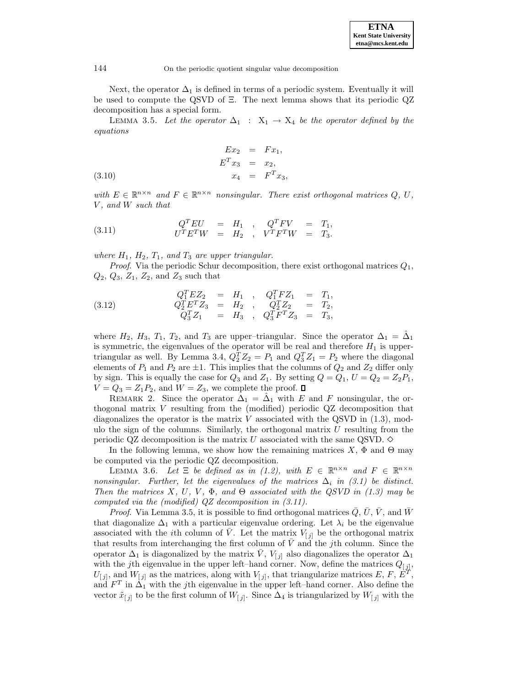Next, the operator  $\Delta_1$  is defined in terms of a periodic system. Eventually it will be used to compute the QSVD of Ξ. The next lemma shows that its periodic QZ decomposition has a special form.

LEMMA 3.5. Let the operator  $\Delta_1$  :  $X_1 \rightarrow X_4$  be the operator defined by the equations

(3.10) 
$$
Ex_2 = Fx_1,
$$

$$
E^T x_3 = x_2,
$$

$$
x_4 = F^T x_3,
$$

with  $E \in \mathbb{R}^{n \times n}$  and  $F \in \mathbb{R}^{n \times n}$  nonsingular. There exist orthogonal matrices Q, U, V, and W such that

(3.11) 
$$
Q^T EU = H_1
$$
,  $Q^T FV = T_1$ ,  
\n $U^T E^T W = H_2$ ,  $V^T F^T W = T_3$ .

where  $H_1$ ,  $H_2$ ,  $T_1$ , and  $T_3$  are upper triangular.

*Proof.* Via the periodic Schur decomposition, there exist orthogonal matrices  $Q_1$ ,  $Q_2$ ,  $Q_3$ ,  $Z_1$ ,  $Z_2$ , and  $Z_3$  such that

(3.12) 
$$
Q_1^T E Z_2 = H_1 , Q_1^T F Z_1 = T_1, Q_2^T E^T Z_3 = H_2 , Q_2^T Z_2 = T_2, Q_3^T Z_1 = H_3 , Q_3^T F^T Z_3 = T_3,
$$

where  $H_2$ ,  $H_3$ ,  $T_1$ ,  $T_2$ , and  $T_3$  are upper-triangular. Since the operator  $\Delta_1 = \Delta_1$ is symmetric, the eigenvalues of the operator will be real and therefore  $H_1$  is uppertriangular as well. By Lemma 3.4,  $Q_2^T Z_2 = P_1$  and  $Q_3^T Z_1 = P_2$  where the diagonal elements of  $P_1$  and  $P_2$  are  $\pm 1$ . This implies that the columns of  $Q_2$  and  $Z_2$  differ only by sign. This is equally the case for  $Q_3$  and  $Z_1$ . By setting  $Q = Q_1$ ,  $U = Q_2 = Z_2P_1$ ,  $V = Q_3 = Z_1 P_2$ , and  $W = Z_3$ , we complete the proof.  $\square$ 

REMARK 2. Since the operator  $\Delta_1 = \Delta_1$  with E and F nonsingular, the orthogonal matrix V resulting from the (modified) periodic QZ decomposition that diagonalizes the operator is the matrix  $V$  associated with the QSVD in  $(1.3)$ , modulo the sign of the columns. Similarly, the orthogonal matrix  $U$  resulting from the periodic QZ decomposition is the matrix U associated with the same QSVD.  $\diamond$ 

In the following lemma, we show how the remaining matrices  $X$ ,  $\Phi$  and  $\Theta$  may be computed via the periodic QZ decomposition.

LEMMA 3.6. Let  $\Xi$  be defined as in (1.2), with  $E \in \mathbb{R}^{n \times n}$  and  $F \in \mathbb{R}^{n \times n}$ nonsingular. Further, let the eigenvalues of the matrices  $\Delta_i$  in (3.1) be distinct. Then the matrices X, U, V,  $\Phi$ , and  $\Theta$  associated with the QSVD in (1.3) may be computed via the (modified) QZ decomposition in (3.11).

*Proof.* Via Lemma 3.5, it is possible to find orthogonal matrices  $Q, U, V$ , and W that diagonalize  $\Delta_1$  with a particular eigenvalue ordering. Let  $\lambda_i$  be the eigenvalue associated with the *i*th column of  $\overline{V}$ . Let the matrix  $V_{[j]}$  be the orthogonal matrix that results from interchanging the first column of  $\bar{V}$  and the jth column. Since the operator  $\Delta_1$  is diagonalized by the matrix  $\bar{V}$ ,  $V_{[j]}$  also diagonalizes the operator  $\Delta_1$ with the jth eigenvalue in the upper left–hand corner. Now, define the matrices  $Q_{[j]}$ ,  $U_{[j]}$ , and  $W_{[j]}$  as the matrices, along with  $V_{[j]}$ , that triangularize matrices E, F, E<sup>T</sup> and  $F^T$  in  $\Delta_1$  with the jth eigenvalue in the upper left–hand corner. Also define the vector  $\tilde{x}_{[j]}$  to be the first column of  $W_{[j]}$ . Since  $\Delta_4$  is triangularized by  $W_{[j]}$  with the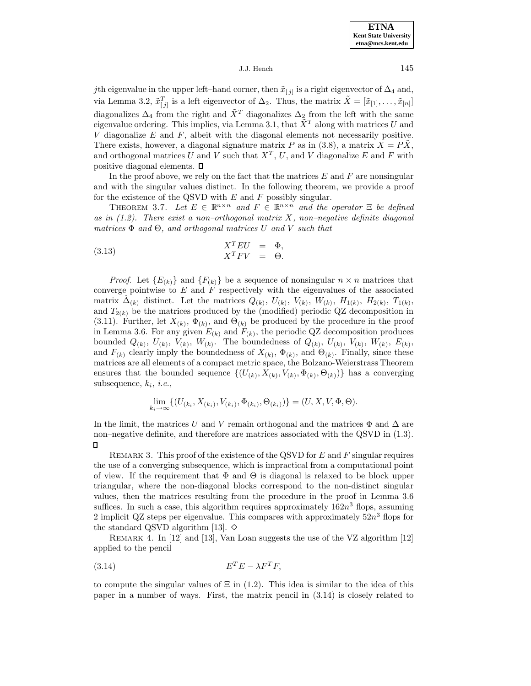**ETNA Kent State University etna@mcs.kent.edu**

## J.J. Hench 145

jth eigenvalue in the upper left–hand corner, then  $\tilde{x}_{[j]}$  is a right eigenvector of  $\Delta_4$  and, via Lemma 3.2,  $\tilde{x}_{[j]}^T$  is a left eigenvector of  $\Delta_2$ . Thus, the matrix  $\tilde{X} = [\tilde{x}_{[1]}, \ldots, \tilde{x}_{[n]}]$ diagonalizes  $\Delta_4$  from the right and  $\tilde{X}^T$  diagonalizes  $\Delta_2$  from the left with the same eigenvalue ordering. This implies, via Lemma 3.1, that  $\tilde{X}^T$  along with matrices U and V diagonalize  $E$  and  $F$ , albeit with the diagonal elements not necessarily positive. There exists, however, a diagonal signature matrix P as in (3.8), a matrix  $X = P\tilde{X}$ , and orthogonal matrices U and V such that  $X^T$ , U, and V diagonalize E and F with positive diagonal elements.

In the proof above, we rely on the fact that the matrices  $E$  and  $F$  are nonsingular and with the singular values distinct. In the following theorem, we provide a proof for the existence of the QSVD with  $E$  and  $F$  possibly singular.

THEOREM 3.7. Let  $E \in \mathbb{R}^{n \times n}$  and  $F \in \mathbb{R}^{n \times n}$  and the operator  $\Xi$  be defined as in  $(1.2)$ . There exist a non-orthogonal matrix X, non-negative definite diagonal matrices  $\Phi$  and  $\Theta$ , and orthogonal matrices U and V such that

(3.13) 
$$
X^T E U = \Phi,
$$

$$
X^T F V = \Theta.
$$

*Proof.* Let  ${E_{(k)}}$  and  ${F_{(k)}}$  be a sequence of nonsingular  $n \times n$  matrices that converge pointwise to  $E$  and  $F$  respectively with the eigenvalues of the associated matrix  $\hat{\Delta}_{(k)}$  distinct. Let the matrices  $Q_{(k)}$ ,  $U_{(k)}$ ,  $V_{(k)}$ ,  $W_{(k)}$ ,  $H_{1(k)}$ ,  $H_{2(k)}$ ,  $T_{1(k)}$ , and  $T_{2(k)}$  be the matrices produced by the (modified) periodic QZ decomposition in (3.11). Further, let  $X_{(k)}$ ,  $\Phi_{(k)}$ , and  $\Theta_{(k)}$  be produced by the procedure in the proof in Lemma 3.6. For any given  $E_{(k)}$  and  $F_{(k)}$ , the periodic QZ decomposition produces bounded  $Q_{(k)}$ ,  $U_{(k)}$ ,  $V_{(k)}$ ,  $W_{(k)}$ . The boundedness of  $Q_{(k)}$ ,  $U_{(k)}$ ,  $V_{(k)}$ ,  $W_{(k)}$ ,  $E_{(k)}$ , and  $F_{(k)}$  clearly imply the boundedness of  $X_{(k)}$ ,  $\Phi_{(k)}$ , and  $\Theta_{(k)}$ . Finally, since these matrices are all elements of a compact metric space, the Bolzano-Weierstrass Theorem ensures that the bounded sequence  $\{(U_{(k)}, X_{(k)}, V_{(k)}, \Phi_{(k)}, \Theta_{(k)})\}$  has a converging subsequence,  $k_i$ , *i.e.*,

$$
\lim_{k_i \to \infty} \{ (U_{(k_i, X_{(k_i)}, V_{(k_i)}, \Phi_{(k_i)}, \Theta_{(k_i)}) } ) \} = (U, X, V, \Phi, \Theta).
$$

In the limit, the matrices U and V remain orthogonal and the matrices  $\Phi$  and  $\Delta$  are non–negative definite, and therefore are matrices associated with the QSVD in (1.3).  $\Box$ 

REMARK 3. This proof of the existence of the QSVD for  $E$  and  $F$  singular requires the use of a converging subsequence, which is impractical from a computational point of view. If the requirement that  $\Phi$  and  $\Theta$  is diagonal is relaxed to be block upper triangular, where the non-diagonal blocks correspond to the non-distinct singular values, then the matrices resulting from the procedure in the proof in Lemma 3.6 suffices. In such a case, this algorithm requires approximately  $162n^3$  flops, assuming 2 implicit QZ steps per eigenvalue. This compares with approximately  $52n^3$  flops for the standard QSVD algorithm [13].  $\diamond$ 

Remark 4. In [12] and [13], Van Loan suggests the use of the VZ algorithm [12] applied to the pencil

E<sup>T</sup> E − λF <sup>T</sup> (3.14) F,

to compute the singular values of  $\Xi$  in (1.2). This idea is similar to the idea of this paper in a number of ways. First, the matrix pencil in (3.14) is closely related to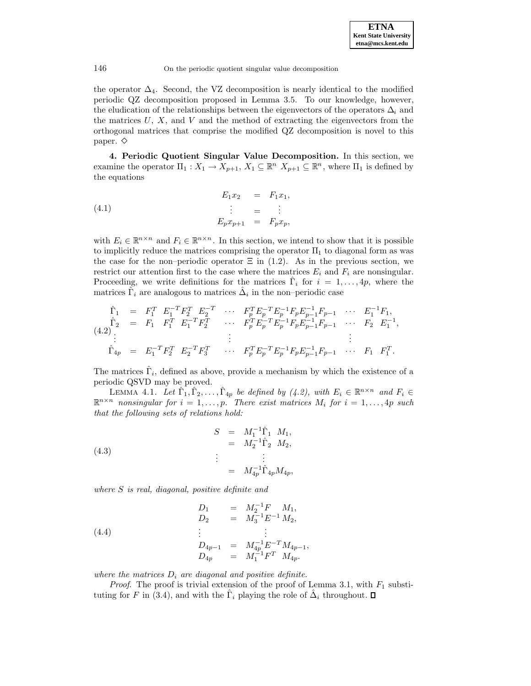the operator  $\Delta_4$ . Second, the VZ decomposition is nearly identical to the modified periodic QZ decomposition proposed in Lemma 3.5. To our knowledge, however, the eludication of the relationships between the eigenvectors of the operators  $\Delta_i$  and the matrices  $U, X$ , and  $V$  and the method of extracting the eigenvectors from the orthogonal matrices that comprise the modified QZ decomposition is novel to this paper.  $\diamond$ 

**4. Periodic Quotient Singular Value Decomposition.** In this section, we examine the operator  $\Pi_1: X_1 \to X_{p+1}, X_1 \subseteq \mathbb{R}^n$   $X_{p+1} \subseteq \mathbb{R}^n$ , where  $\Pi_1$  is defined by the equations

(4.1) 
$$
E_1 x_2 = F_1 x_1,
$$

$$
\vdots = \vdots
$$

$$
E_p x_{p+1} = F_p x_p,
$$

with  $E_i \in \mathbb{R}^{n \times n}$  and  $F_i \in \mathbb{R}^{n \times n}$ . In this section, we intend to show that it is possible to implicitly reduce the matrices comprising the operator  $\Pi_1$  to diagonal form as was the case for the non–periodic operator  $\Xi$  in (1.2). As in the previous section, we restrict our attention first to the case where the matrices  $E_i$  and  $F_i$  are nonsingular. Proceeding, we write definitions for the matrices  $\hat{\Gamma}_i$  for  $i = 1, \ldots, 4p$ , where the matrices  $\hat{\Gamma}_i$  are analogous to matrices  $\hat{\Delta}_i$  in the non–periodic case

$$
\hat{\Gamma}_1 = F_1^T \t E_1^{-T} F_2^T \t E_2^{-T} \t \cdots \t F_p^T E_p^{-T} E_p^{-1} F_p E_{p-1}^{-1} F_{p-1} \t \cdots \t E_1^{-1} F_1, \n\hat{\Gamma}_2 = F_1 \t F_1^T \t E_1^{-T} F_2^T \t \cdots \t F_p^T E_p^{-T} E_p^{-1} F_p E_{p-1}^{-1} F_{p-1} \t \cdots \t F_2 \t E_1^{-1}, \n\vdots \t \vdots \t \vdots \n\hat{\Gamma}_{4p} = E_1^{-T} F_2^T \t E_2^{-T} F_3^T \t \cdots \t F_p^T E_p^{-T} E_p^{-1} F_p E_{p-1}^{-1} F_{p-1} \t \cdots \t F_1 \t F_1^T.
$$

The matrices  $\hat{\Gamma}_i$ , defined as above, provide a mechanism by which the existence of a periodic QSVD may be proved.

LEMMA 4.1. Let  $\hat{\Gamma}_1, \hat{\Gamma}_2, \ldots, \hat{\Gamma}_{4p}$  be defined by (4.2), with  $E_i \in \mathbb{R}^{n \times n}$  and  $F_i \in$  $\mathbb{R}^{n \times n}$  nonsingular for  $i = 1, \ldots, p$ . There exist matrices  $M_i$  for  $i = 1, \ldots, 4p$  such that the following sets of relations hold:

(4.3)  

$$
S = M_1^{-1} \hat{\Gamma}_1 M_1,
$$

$$
= M_2^{-1} \hat{\Gamma}_2 M_2,
$$

$$
\vdots
$$

$$
= M_{4p}^{-1} \hat{\Gamma}_{4p} M_{4p},
$$

where S is real, diagonal, positive definite and

(4.4)  
\n
$$
D_1 = M_2^{-1}F M_1,
$$
\n
$$
D_2 = M_3^{-1}E^{-1} M_2,
$$
\n
$$
\vdots \qquad \vdots
$$
\n
$$
D_{4p-1} = M_{4p}^{-1}E^{-T} M_{4p-1},
$$
\n
$$
D_{4p} = M_1^{-1}F^{T} M_{4p}.
$$

where the matrices  $D_i$  are diagonal and positive definite.

*Proof.* The proof is trivial extension of the proof of Lemma 3.1, with  $F_1$  substituting for F in (3.4), and with the  $\Gamma_i$  playing the role of  $\hat{\Delta}_i$  throughout.  $\square$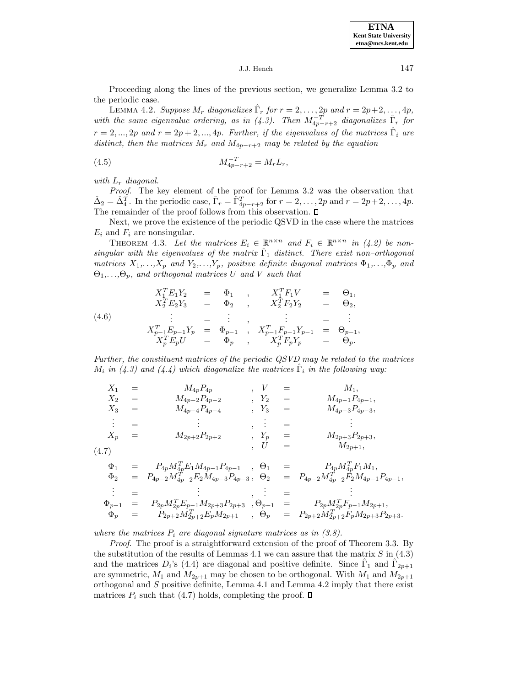**ETNA Kent State University etna@mcs.kent.edu**

J.J. Hench 147

Proceeding along the lines of the previous section, we generalize Lemma 3.2 to the periodic case.

LEMMA 4.2. Suppose  $M_r$  diagonalizes  $\hat{\Gamma}_r$  for  $r = 2, \ldots, 2p$  and  $r = 2p+2, \ldots, 4p$ , with the same eigenvalue ordering, as in (4.3). Then  $M_{4p-r+2}^{-T}$  diagonalizes  $\hat{\Gamma}_r$  for  $r = 2, ..., 2p$  and  $r = 2p + 2, ..., 4p$ . Further, if the eigenvalues of the matrices  $\hat{\Gamma}_i$  are distinct, then the matrices  $M_r$  and  $M_{4p-r+2}$  may be related by the equation

(4.5) 
$$
M_{4p-r+2}^{-T} = M_r L_r,
$$

with  $L_r$  diagonal.

Proof. The key element of the proof for Lemma 3.2 was the observation that  $\hat{\Delta}_2 = \hat{\Delta}_4^T$ . In the periodic case,  $\hat{\Gamma}_r = \hat{\Gamma}_{4p-r+2}^T$  for  $r = 2, \ldots, 2p$  and  $r = 2p+2, \ldots, 4p$ . The remainder of the proof follows from this observation.  $\square$ 

Next, we prove the existence of the periodic QSVD in the case where the matrices  $E_i$  and  $F_i$  are nonsingular.

THEOREM 4.3. Let the matrices  $E_i \in \mathbb{R}^{n \times n}$  and  $F_i \in \mathbb{R}^{n \times n}$  in (4.2) be nonsingular with the eigenvalues of the matrix  $\hat{\Gamma}_1$  distinct. There exist non-orthogonal matrices  $X_1,...,X_p$  and  $Y_2,...,Y_p$ , positive definite diagonal matrices  $\Phi_1,...,\Phi_p$  and  $\Theta_1,\ldots,\Theta_p$ , and orthogonal matrices U and V such that

(4.6)  
\n
$$
X_1^T E_1 Y_2 = \Phi_1 , X_1^T F_1 V = \Theta_1 ,
$$
\n
$$
X_2^T E_2 Y_3 = \Phi_2 , X_2^T F_2 Y_2 = \Theta_2 ,
$$
\n
$$
\vdots = \vdots , \qquad \vdots = \vdots
$$
\n
$$
X_{p-1}^T E_{p-1} Y_p = \Phi_{p-1} , X_{p-1}^T F_{p-1} Y_{p-1} = \Theta_{p-1} ,
$$
\n
$$
X_p^T E_p U = \Phi_p , X_p^T F_p Y_p = \Theta_p .
$$

Further, the constituent matrices of the periodic QSVD may be related to the matrices  $M_i$  in (4.3) and (4.4) which diagonalize the matrices  $\Gamma_i$  in the following way:

$$
X_1 = M_{4p}P_{4p} , \quad V = M_1, \nX_2 = M_{4p-2}P_{4p-2} , \quad Y_2 = M_{4p-1}P_{4p-1}, \nX_3 = M_{4p-4}P_{4p-4} , \quad Y_3 = M_{4p-3}P_{4p-3}, \n\vdots = \vdots , \quad \vdots = \qquad \vdots \nX_p = M_{2p+2}P_{2p+2} , \quad Y_p = M_{2p+3}P_{2p+3}, \n, U = M_{2p+1}, \n\uparrow \qquad M_{2p+1},
$$
\n
$$
X_1 = M_{2p+2}P_{2p+2} , \quad Y_p = M_{2p+1},
$$
\n
$$
X_p = M_{2p+1}P_{2p+3} , \quad Y_p = M_{2p+1},
$$
\n
$$
X_p = M_{2p+1}P_{2p+1} , \quad Y_p = M_{2p+1},
$$

$$
\begin{array}{rcl}\n\Phi_1 & = & P_{4p} M_{4p}^T E_1 M_{4p-1} P_{4p-1} \quad , \quad \Theta_1 & = & P_{4p} M_{4p}^T F_1 M_1, \\
\Phi_2 & = & P_{4p-2} M_{4p-2}^T E_2 M_{4p-3} P_{4p-3} \quad , \quad \Theta_2 & = & P_{4p-2} M_{4p-2}^T F_2 M_{4p-1} P_{4p-1}, \\
& \vdots & = & \vdots & \vdots & \vdots & = & \vdots \\
\Phi_{p-1} & = & P_{2p} M_{2p}^T E_{p-1} M_{2p+3} P_{2p+3} \quad , \Theta_{p-1} & = & P_{2p} M_{2p}^T F_{p-1} M_{2p+1}, \\
\Phi_p & = & P_{2p+2} M_{2p+2}^T E_p M_{2p+1} \quad , \quad \Theta_p & = & P_{2p+2} M_{2p+2}^T F_p M_{2p+3} P_{2p+3}.\n\end{array}
$$

where the matrices  $P_i$  are diagonal signature matrices as in (3.8).

Proof. The proof is a straightforward extension of the proof of Theorem 3.3. By the substitution of the results of Lemmas 4.1 we can assure that the matrix  $S$  in (4.3) and the matrices  $D_i$ 's (4.4) are diagonal and positive definite. Since  $\Gamma_1$  and  $\Gamma_{2p+1}$ are symmetric,  $M_1$  and  $M_{2p+1}$  may be chosen to be orthogonal. With  $M_1$  and  $M_{2p+1}$ orthogonal and  $S$  positive definite, Lemma 4.1 and Lemma 4.2 imply that there exist matrices  $P_i$  such that (4.7) holds, completing the proof.  $\square$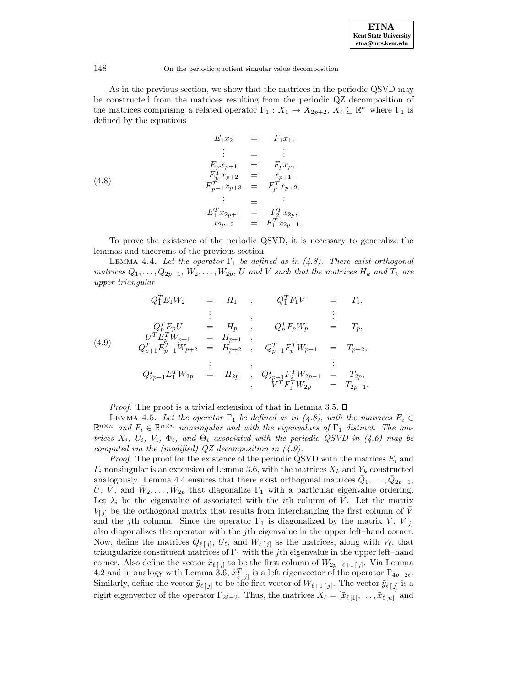As in the previous section, we show that the matrices in the periodic QSVD may be constructed from the matrices resulting from the periodic QZ decomposition of the matrices comprising a related operator  $\Gamma_1: X_1 \to X_{2p+2}, X_i \subseteq \mathbb{R}^n$  where  $\Gamma_1$  is defined by the equations

(4.8)  
\n
$$
E_1 x_2 = F_1 x_1,
$$
\n
$$
\vdots = \vdots
$$
\n
$$
E_p x_{p+1} = F_p x_p,
$$
\n
$$
E_p^T x_{p+2} = x_{p+1},
$$
\n
$$
E_{p-1}^T x_{p+3} = F_p^T x_{p+2},
$$
\n
$$
\vdots = \vdots
$$
\n
$$
E_1^T x_{2p+1} = F_2^T x_{2p},
$$
\n
$$
x_{2p+2} = F_1^T x_{2p+1}.
$$

To prove the existence of the periodic QSVD, it is necessary to generalize the lemmas and theorems of the previous section.

LEMMA 4.4. Let the operator  $\Gamma_1$  be defined as in (4.8). There exist orthogonal matrices  $Q_1, \ldots, Q_{2p-1}, W_2, \ldots, W_{2p}, U$  and V such that the matrices  $H_k$  and  $T_k$  are upper triangular

$$
Q_1^T E_1 W_2 = H_1 , Q_1^T F_1 V = T_1,
$$
  
\n
$$
\vdots , Q_p^T E_p U = H_p , Q_p^T F_p W_p = T_p,
$$
  
\n(4.9) 
$$
Q_{p+1}^T E_p^T W_{p+1} = H_{p+1} , Q_{p+1}^T F_p^T W_{p+1} = T_{p+2},
$$
  
\n
$$
\vdots , Q_{2p-1}^T E_1^T W_{2p} = H_{2p} , Q_{2p-1}^T F_2^T W_{2p-1} = T_{2p},
$$
  
\n
$$
\vdots , Q_{2p-1}^T E_1^T W_{2p} = H_{2p} , Q_{2p-1}^T F_1^T W_{2p} = T_{2p+1}.
$$

*Proof.* The proof is a trivial extension of that in Lemma 3.5.  $\square$ 

LEMMA 4.5. Let the operator  $\Gamma_1$  be defined as in (4.8), with the matrices  $E_i \in$  $\mathbb{R}^{n \times n}$  and  $F_i \in \mathbb{R}^{n \times n}$  nonsingular and with the eigenvalues of  $\Gamma_1$  distinct. The matrices  $X_i$ ,  $U_i$ ,  $V_i$ ,  $\Phi_i$ , and  $\Theta_i$  associated with the periodic QSVD in (4.6) may be computed via the (modified) QZ decomposition in (4.9).

*Proof.* The proof for the existence of the periodic QSVD with the matrices  $E_i$  and  $F_i$  nonsingular is an extension of Lemma 3.6, with the matrices  $X_k$  and  $Y_k$  constructed analogously. Lemma 4.4 ensures that there exist orthogonal matrices  $Q_1, \ldots, Q_{2p-1}$ , U, V, and  $W_2, \ldots, W_{2p}$  that diagonalize  $\Gamma_1$  with a particular eigenvalue ordering. Let  $\lambda_i$  be the eigenvalue of associated with the *i*th column of  $\overline{V}$ . Let the matrix  $V_{[j]}$  be the orthogonal matrix that results from interchanging the first column of V and the jth column. Since the operator  $\Gamma_1$  is diagonalized by the matrix  $\overline{V}$ ,  $V_{[j]}$ also diagonalizes the operator with the jth eigenvalue in the upper left–hand corner. Now, define the matrices  $Q_{\ell [j]}$ ,  $U_{\ell}$ , and  $W_{\ell [j]}$  as the matrices, along with  $V_{\ell}$ , that triangularize constituent matrices of  $\Gamma_1$  with the jth eigenvalue in the upper left–hand corner. Also define the vector  $\tilde{x}_{\ell [j]}$  to be the first column of  $W_{2p-\ell+1 [j]}$ . Via Lemma 4.2 and in analogy with Lemma 3.6,  $\tilde{x}_{\ell [j]}^T$  is a left eigenvector of the operator  $\Gamma_{4p-2\ell}$ . Similarly, define the vector  $\tilde{y}_{\ell}[j]$  to be the first vector of  $W_{\ell+\frac{1}{2}}[j]$ . The vector  $\tilde{y}_{\ell}[j]$  is a right eigenvector of the operator  $\Gamma_{2\ell-2}$ . Thus, the matrices  $X_\ell = [\tilde{x}_{\ell \, [1]},\ldots,\tilde{x}_{\ell \, [n]}]$  and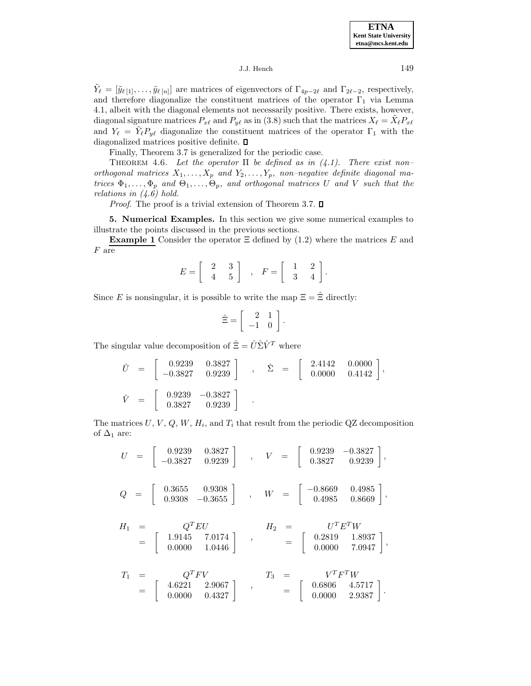$\tilde{Y}_\ell = [\tilde{y}_{\ell \, [1]},\ldots,\tilde{y}_{\ell \, [n]}]$  are matrices of eigenvectors of  $\Gamma_{4p-2\ell}$  and  $\Gamma_{2\ell-2}$ , respectively, and therefore diagonalize the constituent matrices of the operator  $\Gamma_1$  via Lemma 4.1, albeit with the diagonal elements not necessarily positive. There exists, however, diagonal signature matrices  $P_{x\ell}$  and  $P_{y\ell}$  as in (3.8) such that the matrices  $X_\ell = X_\ell P_{x\ell}$ and  $Y_\ell = \tilde{Y}_\ell P_{y\ell}$  diagonalize the constituent matrices of the operator  $\Gamma_1$  with the diagonalized matrices positive definite.  $\square$ 

Finally, Theorem 3.7 is generalized for the periodic case.

THEOREM 4.6. Let the operator  $\Pi$  be defined as in (4.1). There exist nonorthogonal matrices  $X_1, \ldots, X_p$  and  $Y_2, \ldots, Y_p$ , non-negative definite diagonal matrices  $\Phi_1,\ldots,\Phi_p$  and  $\Theta_1,\ldots,\Theta_p$ , and orthogonal matrices U and V such that the relations in  $(4.6)$  hold.

*Proof.* The proof is a trivial extension of Theorem 3.7.  $\square$ 

**5. Numerical Examples.** In this section we give some numerical examples to illustrate the points discussed in the previous sections.

**Example 1** Consider the operator  $\Xi$  defined by (1.2) where the matrices E and  ${\cal F}$  are

$$
E=\left[\begin{array}{cc}2&3\\4&5\end{array}\right]\quad,\quad F=\left[\begin{array}{cc}1&2\\3&4\end{array}\right].
$$

Since E is nonsingular, it is possible to write the map  $\Xi = \hat{\Xi}$  directly:

$$
\hat{\Xi} = \left[ \begin{array}{cc} 2 & 1 \\ -1 & 0 \end{array} \right].
$$

The singular value decomposition of  $\hat{\Xi} = \hat{U} \hat{\Sigma} \hat{V}^T$  where

$$
\hat{U} = \begin{bmatrix} 0.9239 & 0.3827 \\ -0.3827 & 0.9239 \end{bmatrix} , \quad \hat{\Sigma} = \begin{bmatrix} 2.4142 & 0.0000 \\ 0.0000 & 0.4142 \end{bmatrix},
$$
  
\n
$$
\hat{V} = \begin{bmatrix} 0.9239 & -0.3827 \\ 0.3827 & 0.9239 \end{bmatrix} .
$$

The matrices  $U, V, Q, W, H_i$ , and  $T_i$  that result from the periodic QZ decomposition of  $\Delta_1$  are:

 $U = \begin{bmatrix} 0.9239 & 0.3827 \ -0.3827 & 0.9239 \end{bmatrix}$  ,  $V = \begin{bmatrix} 0.9239 & -0.3827 \ 0.3827 & 0.9239 \end{bmatrix}$ ,  $Q = \begin{bmatrix} 0.3655 & 0.9308 \ 0.9308 & -0.3655 \end{bmatrix}$  ,  $W = \begin{bmatrix} -0.8669 & 0.4985 \ 0.4985 & 0.8669 \end{bmatrix}$ 

$$
H_1 = \begin{bmatrix} Q^T E U & H_2 = U^T E^T W \\ 1.9145 & 7.0174 \\ 0.0000 & 1.0446 \end{bmatrix} , \qquad H_2 = \begin{bmatrix} U^T E^T W \\ 0.2819 & 1.8937 \\ 0.0000 & 7.0947 \end{bmatrix},
$$

$$
T_1 = \begin{bmatrix} Q^T F V \\ 4.6221 & 2.9067 \\ 0.0000 & 0.4327 \end{bmatrix} , \qquad T_3 = \begin{bmatrix} V^T F^T W \\ 0.6806 & 4.5717 \\ 0.0000 & 2.9387 \end{bmatrix}.
$$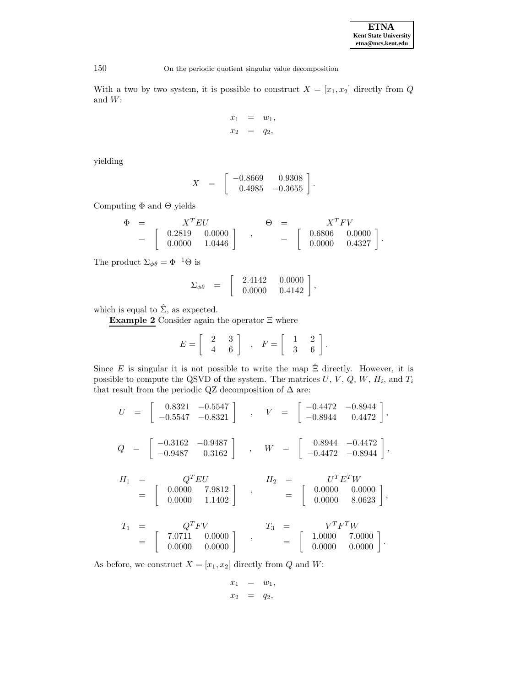| <b>ETNA</b>                  |  |  |  |
|------------------------------|--|--|--|
| <b>Kent State University</b> |  |  |  |
| etna@mcs.kent.edu            |  |  |  |

With a two by two system, it is possible to construct  $X = [x_1, x_2]$  directly from Q and  $W\!$  :

$$
\begin{array}{rcl}\nx_1 &=& w_1, \\
x_2 &=& q_2,\n\end{array}
$$

yielding

$$
X \quad = \quad \left[ \begin{array}{cc} -0.8669 & 0.9308 \\ 0.4985 & -0.3655 \end{array} \right].
$$

Computing  $\Phi$  and  $\Theta$  yields

$$
\begin{array}{rcl}\n\Phi & = & X^T E U \\
& = & \left[ \begin{array}{cc} 0.2819 & 0.0000 \\ 0.0000 & 1.0446 \end{array} \right] \end{array} , \qquad \begin{array}{rcl}\n\Theta & = & X^T F V \\
& = & \left[ \begin{array}{cc} 0.6806 & 0.0000 \\ 0.0000 & 0.4327 \end{array} \right].\n\end{array}
$$

The product  $\Sigma_{\phi\theta} = \Phi^{-1}\Theta$  is

$$
\Sigma_{\phi\theta} = \begin{bmatrix} 2.4142 & 0.0000 \\ 0.0000 & 0.4142 \end{bmatrix},
$$

which is equal to  $\hat{\Sigma}$ , as expected.

**Example 2** Consider again the operator Ξ where

$$
E = \left[ \begin{array}{cc} 2 & 3 \\ 4 & 6 \end{array} \right] , F = \left[ \begin{array}{cc} 1 & 2 \\ 3 & 6 \end{array} \right].
$$

Since E is singular it is not possible to write the map  $\hat{\Xi}$  directly. However, it is possible to compute the QSVD of the system. The matrices  $U, V, Q, W, H_i$ , and  $T_i$ that result from the periodic QZ decomposition of  $\Delta$  are:

$$
U = \begin{bmatrix} 0.8321 & -0.5547 \\ -0.5547 & -0.8321 \end{bmatrix} , \quad V = \begin{bmatrix} -0.4472 & -0.8944 \\ -0.8944 & 0.4472 \end{bmatrix} ,
$$
  
\n
$$
Q = \begin{bmatrix} -0.3162 & -0.9487 \\ -0.9487 & 0.3162 \end{bmatrix} , \quad W = \begin{bmatrix} 0.8944 & -0.4472 \\ -0.4472 & -0.8944 \end{bmatrix} ,
$$
  
\n
$$
H_1 = \begin{bmatrix} Q^T EU & H_2 = U^T E^T W \\ 0.0000 & 1.1402 \end{bmatrix} , \quad H_2 = \begin{bmatrix} 0.0000 & 0.0000 \\ 0.0000 & 8.0623 \end{bmatrix} ,
$$
  
\n
$$
T_1 = \begin{bmatrix} Q^T F V & T_3 = V^T F^T W \\ 0.0000 & 0.0000 \\ 0.0000 & 0.0000 \end{bmatrix} , \quad T_3 = \begin{bmatrix} 1.0000 & 7.0000 \\ 0.0000 & 0.0000 \\ 0.0000 & 0.0000 \end{bmatrix} .
$$

$$
= \begin{bmatrix} 7.0711 & 0.0000 \\ 0.0000 & 0.0000 \end{bmatrix} , \qquad = \begin{bmatrix} 1.0000 & 7.0000 \\ 0.0000 & 0.0000 \end{bmatrix}
$$

As before, we construct  $X = [x_1, x_2]$  directly from Q and W:

$$
\begin{array}{rcl}\nx_1 &=& w_1, \\
x_2 &=& q_2,\n\end{array}
$$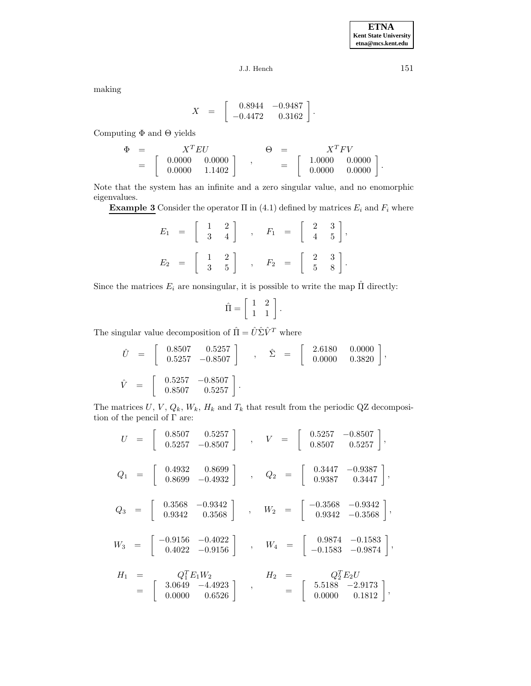making

$$
X \hspace{.2cm} = \hspace{.2cm} \left[ \begin{array}{rr} \hspace{-0.0cm}0.8944 & -0.9487 \\ -0.4472 & \hspace{-0.06cm}0.3162 \end{array}\right]
$$

.

Computing  $\Phi$  and  $\Theta$  yields

$$
\begin{array}{rcl}\n\Phi & = & X^T E U \\
& = & \left[ \begin{array}{cc} 0.0000 & 0.0000 \\ 0.0000 & 1.1402 \end{array} \right] \end{array} , \qquad \begin{array}{rcl}\n\Theta & = & X^T F V \\
& = & \left[ \begin{array}{cc} 1.0000 & 0.0000 \\ 0.0000 & 0.0000 \end{array} \right].\n\end{array}
$$

Note that the system has an infinite and a zero singular value, and no enomorphic eigenvalues.

**Example 3** Consider the operator  $\Pi$  in (4.1) defined by matrices  $E_i$  and  $F_i$  where

$$
E_1 = \begin{bmatrix} 1 & 2 \\ 3 & 4 \end{bmatrix} , F_1 = \begin{bmatrix} 2 & 3 \\ 4 & 5 \end{bmatrix} ,
$$
  

$$
E_2 = \begin{bmatrix} 1 & 2 \\ 3 & 5 \end{bmatrix} , F_2 = \begin{bmatrix} 2 & 3 \\ 5 & 8 \end{bmatrix} .
$$

Since the matrices  $E_i$  are nonsingular, it is possible to write the map  $\hat{\Pi}$  directly:

$$
\hat{\Pi} = \left[ \begin{array}{cc} 1 & 2 \\ 1 & 1 \end{array} \right].
$$

The singular value decomposition of  $\hat{\Pi}=\hat{U}\hat{\Sigma}\hat{V}^T$  where

$$
\begin{aligned}\n\hat{U} &= \begin{bmatrix} 0.8507 & 0.5257 \\ 0.5257 & -0.8507 \end{bmatrix} , \quad \hat{\Sigma} &= \begin{bmatrix} 2.6180 & 0.0000 \\ 0.0000 & 0.3820 \end{bmatrix}, \\
\hat{V} &= \begin{bmatrix} 0.5257 & -0.8507 \\ 0.8507 & 0.5257 \end{bmatrix}.\n\end{aligned}
$$

The matrices  $U, V, Q_k, W_k, H_k$  and  $T_k$  that result from the periodic QZ decomposition of the pencil of  $\Gamma$  are:

$$
U = \begin{bmatrix} 0.8507 & 0.5257 \\ 0.5257 & -0.8507 \end{bmatrix} , V = \begin{bmatrix} 0.5257 & -0.8507 \\ 0.8507 & 0.5257 \end{bmatrix} ,
$$
  
\n
$$
Q_1 = \begin{bmatrix} 0.4932 & 0.8699 \\ 0.8699 & -0.4932 \end{bmatrix} , Q_2 = \begin{bmatrix} 0.3447 & -0.9387 \\ 0.9387 & 0.3447 \end{bmatrix} ,
$$
  
\n
$$
Q_3 = \begin{bmatrix} 0.3568 & -0.9342 \\ 0.9342 & 0.3568 \end{bmatrix} , W_2 = \begin{bmatrix} -0.3568 & -0.9342 \\ 0.9342 & -0.3568 \end{bmatrix} ,
$$
  
\n
$$
W_3 = \begin{bmatrix} -0.9156 & -0.4022 \\ 0.4022 & -0.9156 \end{bmatrix} , W_4 = \begin{bmatrix} 0.9874 & -0.1583 \\ -0.1583 & -0.9874 \end{bmatrix} ,
$$
  
\n
$$
H_1 = \begin{bmatrix} Q_1^T E_1 W_2 \\ 0.0000 & 0.6526 \end{bmatrix} , H_2 = \begin{bmatrix} 5.5188 & -2.9173 \\ 0.0000 & 0.1812 \end{bmatrix} ,
$$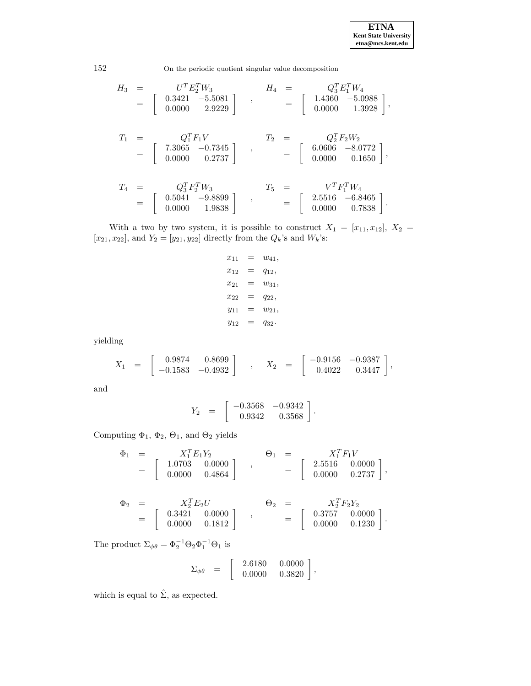**ETNA Kent State University etna@mcs.kent.edu**

.

152 On the periodic quotient singular value decomposition

$$
\begin{array}{rclcrcl} H_3&=&U^TE_2^TW_3\\ &=&\left[ \begin{array}{ccc} 0.3421 & -5.5081\\ 0.0000 & 2.9229 \end{array} \right] & , & & H_4&=&Q_3^TE_1^TW_4\\ &=&\left[ \begin{array}{ccc} 1.4360 & -5.0988\\ 0.0000 & 1.3928 \end{array} \right], \end{array}
$$

$$
T_1 = \begin{bmatrix} Q_1^T F_1 V & T_2 = \begin{bmatrix} Q_2^T F_2 W_2 \\ 7.3065 & -0.7345 \\ 0.0000 & 0.2737 \end{bmatrix} \end{bmatrix}, \qquad T_2 = \begin{bmatrix} Q_2^T F_2 W_2 \\ 6.0606 & -8.0772 \\ 0.0000 & 0.1650 \end{bmatrix},
$$

$$
T_4 = \begin{bmatrix} Q_3^T F_2^T W_3 \\ 0.5041 & -9.8899 \\ 0.0000 & 1.9838 \end{bmatrix} , \qquad T_5 = \begin{bmatrix} V^T F_1^T W_4 \\ 2.5516 & -6.8465 \\ 0.0000 & 0.7838 \end{bmatrix}.
$$

With a two by two system, it is possible to construct  $X_1 = [x_{11}, x_{12}], X_2 =$  $[x_{21}, x_{22}]$ , and  $Y_2 = [y_{21}, y_{22}]$  directly from the  $Q_k$ 's and  $W_k$ 's:

$$
x_{11} = w_{41},
$$
  
\n
$$
x_{12} = q_{12},
$$
  
\n
$$
x_{21} = w_{31},
$$
  
\n
$$
x_{22} = q_{22},
$$
  
\n
$$
y_{11} = w_{21},
$$
  
\n
$$
y_{12} = q_{32}.
$$

yielding

$$
X_1 = \begin{bmatrix} 0.9874 & 0.8699 \\ -0.1583 & -0.4932 \end{bmatrix} , X_2 = \begin{bmatrix} -0.9156 & -0.9387 \\ 0.4022 & 0.3447 \end{bmatrix},
$$

and

$$
Y_2 = \begin{bmatrix} -0.3568 & -0.9342 \\ 0.9342 & 0.3568 \end{bmatrix}.
$$

Computing  $\Phi_1$ ,  $\Phi_2$ ,  $\Theta_1$ , and  $\Theta_2$  yields

$$
\begin{array}{rcl}\n\Phi_1 & = & X_1^T E_1 Y_2 \\
 & = & \left[ \begin{array}{cc} 1.0703 & 0.0000 \\ 0.0000 & 0.4864 \end{array} \right] \end{array} ,\n\qquad\n\begin{array}{rcl}\n\Theta_1 & = & X_1^T F_1 V \\
 & = & \left[ \begin{array}{cc} 2.5516 & 0.0000 \\ 0.0000 & 0.2737 \end{array} \right],\n\end{array}
$$

$$
\begin{array}{rcl}\n\Phi_2 & = & X_2^T E_2 U \\
 & = & \left[ \begin{array}{ccc} 0.3421 & 0.0000 \\ 0.0000 & 0.1812 \end{array} \right] \end{array} ,\n\qquad\n\begin{array}{rcl}\n\Theta_2 & = & X_2^T F_2 Y_2 \\
 & = & \left[ \begin{array}{ccc} 0.3757 & 0.0000 \\ 0.0000 & 0.1230 \end{array} \right]\n\end{array}
$$

The product  $\Sigma_{\phi\theta} = \Phi_2^{-1} \Theta_2 \Phi_1^{-1} \Theta_1$  is

$$
\Sigma_{\phi\theta} = \begin{bmatrix} 2.6180 & 0.0000 \\ 0.0000 & 0.3820 \end{bmatrix},
$$

which is equal to  $\hat{\Sigma}$ , as expected.